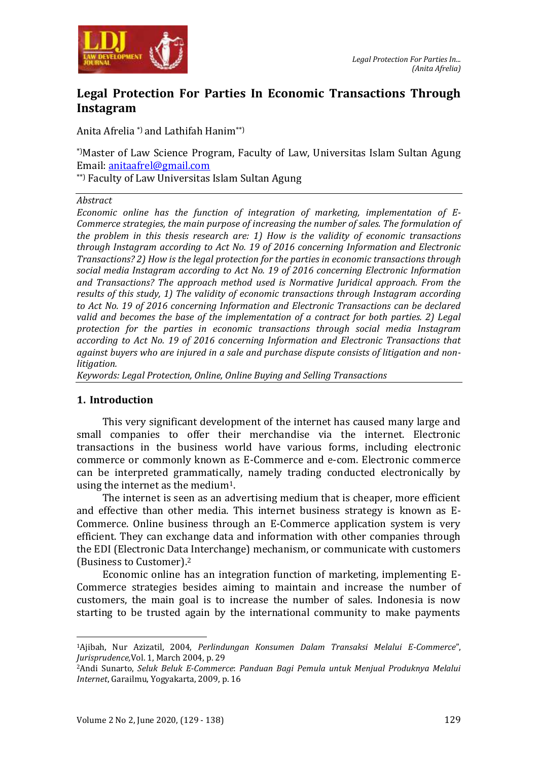

# **Legal Protection For Parties In Economic Transactions Through Instagram**

Anita Afrelia \*) and Lathifah Hanim\*\*)

\*)Master of Law Science Program, Faculty of Law, Universitas Islam Sultan Agung Email: anitaafrel@gmail.com

\*\*) Faculty of Law Universitas Islam Sultan Agung

#### *Abstract*

*Economic online has the function of integration of marketing, implementation of E-Commerce strategies, the main purpose of increasing the number of sales. The formulation of the problem in this thesis research are: 1) How is the validity of economic transactions through Instagram according to Act No. 19 of 2016 concerning Information and Electronic Transactions? 2) How is the legal protection for the parties in economic transactions through social media Instagram according to Act No. 19 of 2016 concerning Electronic Information and Transactions? The approach method used is Normative Juridical approach. From the results of this study, 1) The validity of economic transactions through Instagram according to Act No. 19 of 2016 concerning Information and Electronic Transactions can be declared valid and becomes the base of the implementation of a contract for both parties. 2) Legal protection for the parties in economic transactions through social media Instagram according to Act No. 19 of 2016 concerning Information and Electronic Transactions that against buyers who are injured in a sale and purchase dispute consists of litigation and nonlitigation.*

*Keywords: Legal Protection, Online, Online Buying and Selling Transactions*

#### **1. Introduction**

1

This very significant development of the internet has caused many large and small companies to offer their merchandise via the internet. Electronic transactions in the business world have various forms, including electronic commerce or commonly known as E-Commerce and e-com. Electronic commerce can be interpreted grammatically, namely trading conducted electronically by using the internet as the medium1.

The internet is seen as an advertising medium that is cheaper, more efficient and effective than other media. This internet business strategy is known as E-Commerce. Online business through an E-Commerce application system is very efficient. They can exchange data and information with other companies through the EDI (Electronic Data Interchange) mechanism, or communicate with customers (Business to Customer).<sup>2</sup>

Economic online has an integration function of marketing, implementing E-Commerce strategies besides aiming to maintain and increase the number of customers, the main goal is to increase the number of sales. Indonesia is now starting to be trusted again by the international community to make payments

<sup>1</sup>Ajibah, Nur Azizatil, 2004, *Perlindungan Konsumen Dalam Transaksi Melalui E-Commerce*", *Jurisprudence,*Vol. 1, March 2004, p. 29

<sup>2</sup>Andi Sunarto, *Seluk Beluk E-Commerce*: *Panduan Bagi Pemula untuk Menjual Produknya Melalui Internet*, Garailmu, Yogyakarta, 2009, p. 16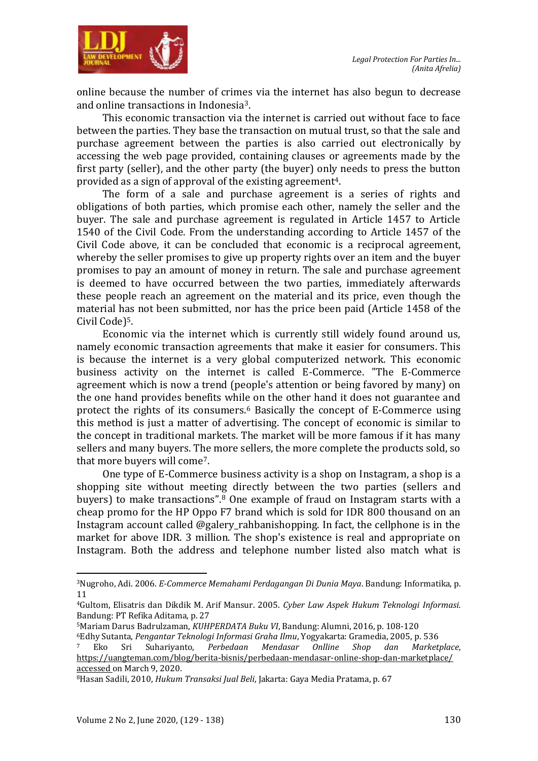

online because the number of crimes via the internet has also begun to decrease and online transactions in Indonesia3.

This economic transaction via the internet is carried out without face to face between the parties. They base the transaction on mutual trust, so that the sale and purchase agreement between the parties is also carried out electronically by accessing the web page provided, containing clauses or agreements made by the first party (seller), and the other party (the buyer) only needs to press the button provided as a sign of approval of the existing agreement4.

The form of a sale and purchase agreement is a series of rights and obligations of both parties, which promise each other, namely the seller and the buyer. The sale and purchase agreement is regulated in Article 1457 to Article 1540 of the Civil Code. From the understanding according to Article 1457 of the Civil Code above, it can be concluded that economic is a reciprocal agreement, whereby the seller promises to give up property rights over an item and the buyer promises to pay an amount of money in return. The sale and purchase agreement is deemed to have occurred between the two parties, immediately afterwards these people reach an agreement on the material and its price, even though the material has not been submitted, nor has the price been paid (Article 1458 of the Civil Code)5.

Economic via the internet which is currently still widely found around us, namely economic transaction agreements that make it easier for consumers. This is because the internet is a very global computerized network. This economic business activity on the internet is called E-Commerce. "The E-Commerce agreement which is now a trend (people's attention or being favored by many) on the one hand provides benefits while on the other hand it does not guarantee and protect the rights of its consumers.<sup>6</sup> Basically the concept of E-Commerce using this method is just a matter of advertising. The concept of economic is similar to the concept in traditional markets. The market will be more famous if it has many sellers and many buyers. The more sellers, the more complete the products sold, so that more buyers will come7.

One type of E-Commerce business activity is a shop on Instagram, a shop is a shopping site without meeting directly between the two parties (sellers and buyers) to make transactions".<sup>8</sup> One example of fraud on Instagram starts with a cheap promo for the HP Oppo F7 brand which is sold for IDR 800 thousand on an Instagram account called @galery rahbanishopping. In fact, the cellphone is in the market for above IDR. 3 million. The shop's existence is real and appropriate on Instagram. Both the address and telephone number listed also match what is

 $\overline{a}$ 

<sup>3</sup>Nugroho, Adi. 2006. *E-Commerce Memahami Perdagangan Di Dunia Maya*. Bandung: Informatika, p. 11

<sup>4</sup>Gultom, Elisatris dan Dikdik M. Arif Mansur. 2005. *Cyber Law Aspek Hukum Teknologi Informasi.*  Bandung: PT Refika Aditama, p. 27

<sup>5</sup>Mariam Darus Badrulzaman, *KUHPERDATA Buku VI*, Bandung: Alumni, 2016, p. 108-120

<sup>6</sup>Edhy Sutanta, *Pengantar Teknologi Informasi Graha Ilmu*, Yogyakarta: Gramedia, 2005, p. 536

<sup>7</sup> Eko Sri Suhariyanto, *Perbedaan Mendasar Onlline Shop dan Marketplace*, https://uangteman.com/blog/berita-bisnis/perbedaan-mendasar-online-shop-dan-marketplace/ accessed on March 9, 2020.

<sup>8</sup>Hasan Sadili, 2010, *Hukum Transaksi Jual Beli*, Jakarta: Gaya Media Pratama, p. 67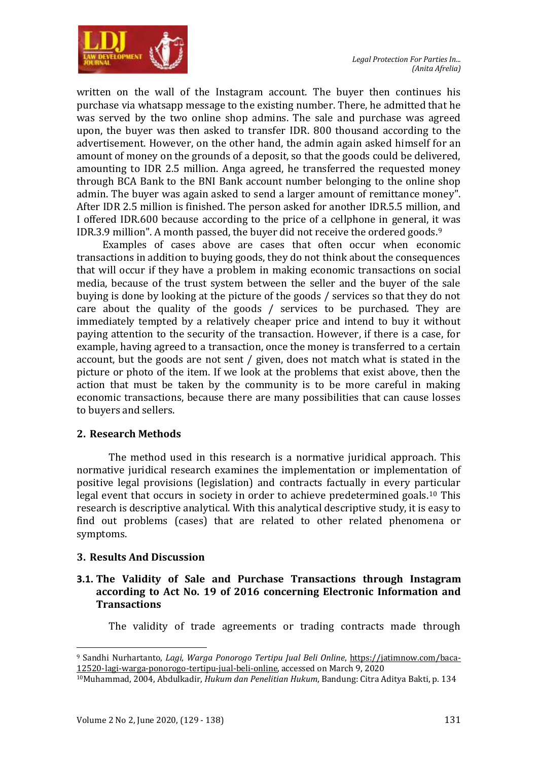

written on the wall of the Instagram account. The buyer then continues his purchase via whatsapp message to the existing number. There, he admitted that he was served by the two online shop admins. The sale and purchase was agreed upon, the buyer was then asked to transfer IDR. 800 thousand according to the advertisement. However, on the other hand, the admin again asked himself for an amount of money on the grounds of a deposit, so that the goods could be delivered, amounting to IDR 2.5 million. Anga agreed, he transferred the requested money through BCA Bank to the BNI Bank account number belonging to the online shop admin. The buyer was again asked to send a larger amount of remittance money". After IDR 2.5 million is finished. The person asked for another IDR.5.5 million, and I offered IDR.600 because according to the price of a cellphone in general, it was IDR.3.9 million". A month passed, the buyer did not receive the ordered goods.<sup>9</sup>

Examples of cases above are cases that often occur when economic transactions in addition to buying goods, they do not think about the consequences that will occur if they have a problem in making economic transactions on social media, because of the trust system between the seller and the buyer of the sale buying is done by looking at the picture of the goods / services so that they do not care about the quality of the goods / services to be purchased. They are immediately tempted by a relatively cheaper price and intend to buy it without paying attention to the security of the transaction. However, if there is a case, for example, having agreed to a transaction, once the money is transferred to a certain account, but the goods are not sent / given, does not match what is stated in the picture or photo of the item. If we look at the problems that exist above, then the action that must be taken by the community is to be more careful in making economic transactions, because there are many possibilities that can cause losses to buyers and sellers.

# **2. Research Methods**

The method used in this research is a normative juridical approach. This normative juridical research examines the implementation or implementation of positive legal provisions (legislation) and contracts factually in every particular legal event that occurs in society in order to achieve predetermined goals.<sup>10</sup> This research is descriptive analytical. With this analytical descriptive study, it is easy to find out problems (cases) that are related to other related phenomena or symptoms.

# **3. Results And Discussion**

#### **3.1. The Validity of Sale and Purchase Transactions through Instagram according to Act No. 19 of 2016 concerning Electronic Information and Transactions**

The validity of trade agreements or trading contracts made through

 $\overline{a}$ <sup>9</sup> Sandhi Nurhartanto, *Lagi, Warga Ponorogo Tertipu Jual Beli Online*, https://jatimnow.com/baca-12520-lagi-warga-ponorogo-tertipu-jual-beli-online, accessed on March 9, 2020

<sup>10</sup>Muhammad, 2004, Abdulkadir, *Hukum dan Penelitian Hukum*, Bandung: Citra Aditya Bakti, p. 134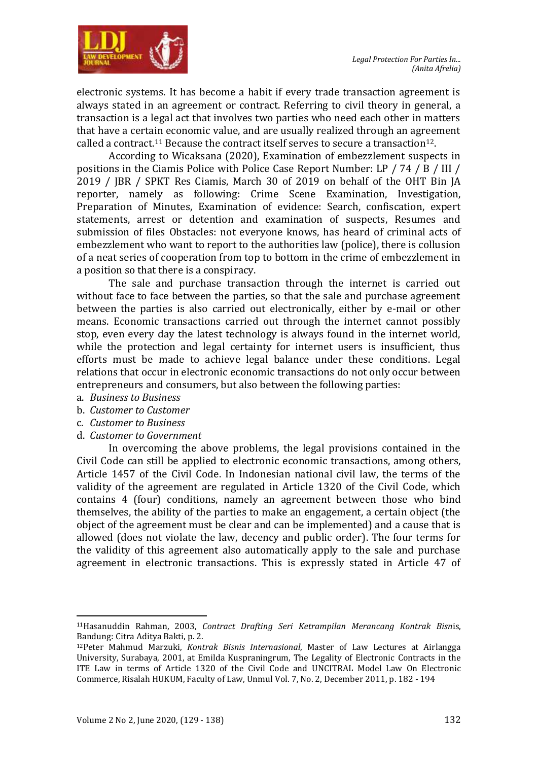

electronic systems. It has become a habit if every trade transaction agreement is always stated in an agreement or contract. Referring to civil theory in general, a transaction is a legal act that involves two parties who need each other in matters that have a certain economic value, and are usually realized through an agreement called a contract.<sup>11</sup> Because the contract itself serves to secure a transaction<sup>12</sup>.

According to Wicaksana (2020), Examination of embezzlement suspects in positions in the Ciamis Police with Police Case Report Number: LP / 74 / B / III / 2019 / JBR / SPKT Res Ciamis, March 30 of 2019 on behalf of the OHT Bin JA reporter, namely as following: Crime Scene Examination, Investigation, Preparation of Minutes, Examination of evidence: Search, confiscation, expert statements, arrest or detention and examination of suspects, Resumes and submission of files Obstacles: not everyone knows, has heard of criminal acts of embezzlement who want to report to the authorities law (police), there is collusion of a neat series of cooperation from top to bottom in the crime of embezzlement in a position so that there is a conspiracy.

The sale and purchase transaction through the internet is carried out without face to face between the parties, so that the sale and purchase agreement between the parties is also carried out electronically, either by e-mail or other means. Economic transactions carried out through the internet cannot possibly stop, even every day the latest technology is always found in the internet world, while the protection and legal certainty for internet users is insufficient, thus efforts must be made to achieve legal balance under these conditions. Legal relations that occur in electronic economic transactions do not only occur between entrepreneurs and consumers, but also between the following parties:

- a. *Business to Business*
- b. *Customer to Customer*
- c. *Customer to Business*

 $\overline{a}$ 

d. *Customer to Government*

In overcoming the above problems, the legal provisions contained in the Civil Code can still be applied to electronic economic transactions, among others, Article 1457 of the Civil Code. In Indonesian national civil law, the terms of the validity of the agreement are regulated in Article 1320 of the Civil Code, which contains 4 (four) conditions, namely an agreement between those who bind themselves, the ability of the parties to make an engagement, a certain object (the object of the agreement must be clear and can be implemented) and a cause that is allowed (does not violate the law, decency and public order). The four terms for the validity of this agreement also automatically apply to the sale and purchase agreement in electronic transactions. This is expressly stated in Article 47 of

<sup>11</sup>Hasanuddin Rahman, 2003, *Contract Drafting Seri Ketrampilan Merancang Kontrak Bisn*is, Bandung: Citra Aditya Bakti, p. 2.

<sup>12</sup>Peter Mahmud Marzuki, *Kontrak Bisnis Internasional*, Master of Law Lectures at Airlangga University, Surabaya, 2001, at Emilda Kuspraningrum, The Legality of Electronic Contracts in the ITE Law in terms of Article 1320 of the Civil Code and UNCITRAL Model Law On Electronic Commerce, Risalah HUKUM, Faculty of Law, Unmul Vol. 7, No. 2, December 2011, p. 182 - 194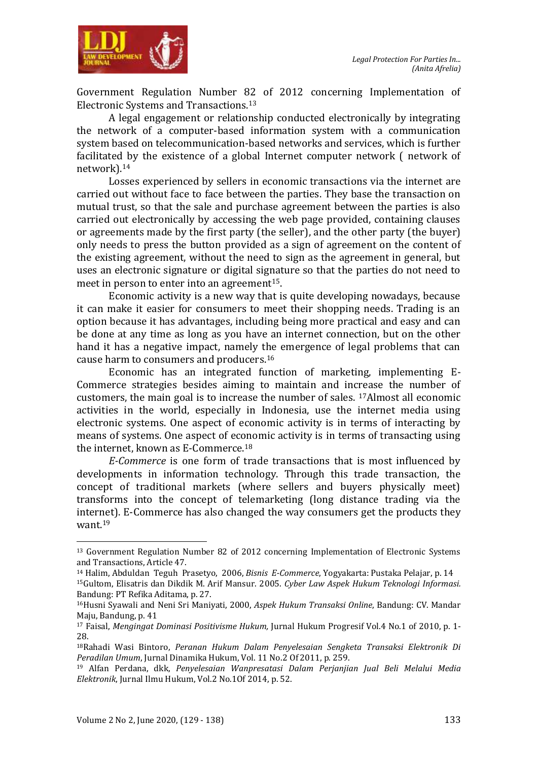

Government Regulation Number 82 of 2012 concerning Implementation of Electronic Systems and Transactions.<sup>13</sup>

A legal engagement or relationship conducted electronically by integrating the network of a computer-based information system with a communication system based on telecommunication-based networks and services, which is further facilitated by the existence of a global Internet computer network ( network of network).<sup>14</sup>

Losses experienced by sellers in economic transactions via the internet are carried out without face to face between the parties. They base the transaction on mutual trust, so that the sale and purchase agreement between the parties is also carried out electronically by accessing the web page provided, containing clauses or agreements made by the first party (the seller), and the other party (the buyer) only needs to press the button provided as a sign of agreement on the content of the existing agreement, without the need to sign as the agreement in general, but uses an electronic signature or digital signature so that the parties do not need to meet in person to enter into an agreement<sup>15</sup>.

Economic activity is a new way that is quite developing nowadays, because it can make it easier for consumers to meet their shopping needs. Trading is an option because it has advantages, including being more practical and easy and can be done at any time as long as you have an internet connection, but on the other hand it has a negative impact, namely the emergence of legal problems that can cause harm to consumers and producers.<sup>16</sup>

Economic has an integrated function of marketing, implementing E-Commerce strategies besides aiming to maintain and increase the number of customers, the main goal is to increase the number of sales. 17Almost all economic activities in the world, especially in Indonesia, use the internet media using electronic systems. One aspect of economic activity is in terms of interacting by means of systems. One aspect of economic activity is in terms of transacting using the internet, known as E-Commerce. 18

*E-Commerce* is one form of trade transactions that is most influenced by developments in information technology. Through this trade transaction, the concept of traditional markets (where sellers and buyers physically meet) transforms into the concept of telemarketing (long distance trading via the internet). E-Commerce has also changed the way consumers get the products they want.<sup>19</sup>

 $\overline{a}$ 

<sup>&</sup>lt;sup>13</sup> Government Regulation Number 82 of 2012 concerning Implementation of Electronic Systems and Transactions, Article 47.

<sup>14</sup> Halim, Abduldan Teguh Prasetyo, 2006, *Bisnis E-Commerce*, Yogyakarta: Pustaka Pelajar, p. 14

<sup>15</sup>Gultom, Elisatris dan Dikdik M. Arif Mansur. 2005. *Cyber Law Aspek Hukum Teknologi Informasi.*  Bandung: PT Refika Aditama, p. 27.

<sup>16</sup>Husni Syawali and Neni Sri Maniyati, 2000, *Aspek Hukum Transaksi Online*, Bandung: CV. Mandar Maju, Bandung, p. 41

<sup>17</sup> Faisal, *Mengingat Dominasi Positivisme Hukum,* Jurnal Hukum Progresif Vol.4 No.1 of 2010, p. 1- 28.

<sup>18</sup>Rahadi Wasi Bintoro, *Peranan Hukum Dalam Penyelesaian Sengketa Transaksi Elektronik Di Peradilan Umum*, Jurnal Dinamika Hukum, Vol. 11 No.2 Of 2011, p. 259.

<sup>19</sup> Alfan Perdana, dkk, *Penyelesaian Wanpresatasi Dalam Perjanjian Jual Beli Melalui Media Elektronik*, Jurnal Ilmu Hukum, Vol.2 No.1Of 2014, p. 52.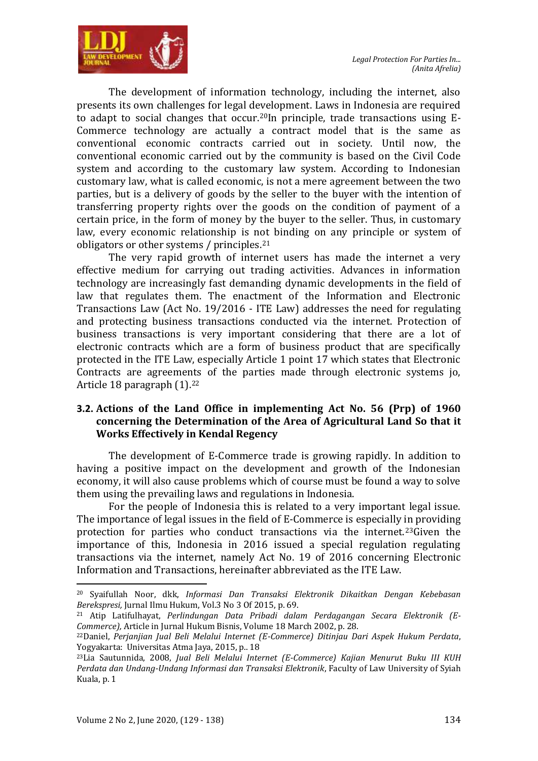

The development of information technology, including the internet, also presents its own challenges for legal development. Laws in Indonesia are required to adapt to social changes that occur.<sup>20</sup>In principle, trade transactions using  $E$ -Commerce technology are actually a contract model that is the same as conventional economic contracts carried out in society. Until now, the conventional economic carried out by the community is based on the Civil Code system and according to the customary law system. According to Indonesian customary law, what is called economic, is not a mere agreement between the two parties, but is a delivery of goods by the seller to the buyer with the intention of transferring property rights over the goods on the condition of payment of a certain price, in the form of money by the buyer to the seller. Thus, in customary law, every economic relationship is not binding on any principle or system of obligators or other systems / principles.<sup>21</sup>

The very rapid growth of internet users has made the internet a very effective medium for carrying out trading activities. Advances in information technology are increasingly fast demanding dynamic developments in the field of law that regulates them. The enactment of the Information and Electronic Transactions Law (Act No. 19/2016 - ITE Law) addresses the need for regulating and protecting business transactions conducted via the internet. Protection of business transactions is very important considering that there are a lot of electronic contracts which are a form of business product that are specifically protected in the ITE Law, especially Article 1 point 17 which states that Electronic Contracts are agreements of the parties made through electronic systems jo, Article 18 paragraph (1).<sup>22</sup>

# **3.2. Actions of the Land Office in implementing Act No. 56 (Prp) of 1960 concerning the Determination of the Area of Agricultural Land So that it Works Effectively in Kendal Regency**

The development of E-Commerce trade is growing rapidly. In addition to having a positive impact on the development and growth of the Indonesian economy, it will also cause problems which of course must be found a way to solve them using the prevailing laws and regulations in Indonesia.

For the people of Indonesia this is related to a very important legal issue. The importance of legal issues in the field of E-Commerce is especially in providing protection for parties who conduct transactions via the internet.23Given the importance of this, Indonesia in 2016 issued a special regulation regulating transactions via the internet, namely Act No. 19 of 2016 concerning Electronic Information and Transactions, hereinafter abbreviated as the ITE Law.

 $\overline{a}$ 

<sup>20</sup> Syaifullah Noor, dkk, *Informasi Dan Transaksi Elektronik Dikaitkan Dengan Kebebasan Berekspresi,* Jurnal Ilmu Hukum, Vol.3 No 3 Of 2015, p. 69.

<sup>21</sup> Atip Latifulhayat, *Perlindungan Data Pribadi dalam Perdagangan Secara Elektronik (E-Commerce),* Article in Jurnal Hukum Bisnis, Volume 18 March 2002, p. 28.

<sup>22</sup>Daniel, *Perjanjian Jual Beli Melalui Internet (E-Commerce) Ditinjau Dari Aspek Hukum Perdata*, Yogyakarta: Universitas Atma Jaya, 2015, p.. 18

<sup>23</sup>Lia Sautunnida, 2008, *Jual Beli Melalui Internet (E-Commerce) Kajian Menurut Buku III KUH Perdata dan Undang-Undang Informasi dan Transaksi Elektronik*, Faculty of Law University of Syiah Kuala, p. 1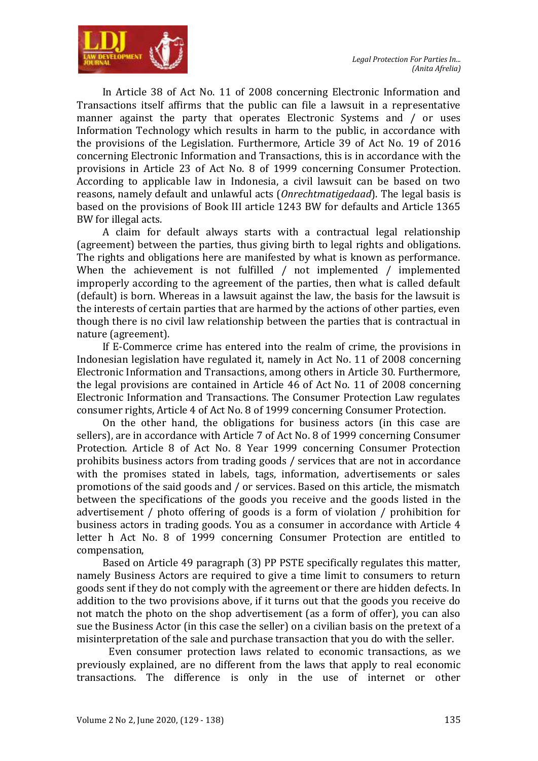

In Article 38 of Act No. 11 of 2008 concerning Electronic Information and Transactions itself affirms that the public can file a lawsuit in a representative manner against the party that operates Electronic Systems and / or uses Information Technology which results in harm to the public, in accordance with the provisions of the Legislation. Furthermore, Article 39 of Act No. 19 of 2016 concerning Electronic Information and Transactions, this is in accordance with the provisions in Article 23 of Act No. 8 of 1999 concerning Consumer Protection. According to applicable law in Indonesia, a civil lawsuit can be based on two reasons, namely default and unlawful acts (*Onrechtmatigedaad*). The legal basis is based on the provisions of Book III article 1243 BW for defaults and Article 1365 BW for illegal acts.

A claim for default always starts with a contractual legal relationship (agreement) between the parties, thus giving birth to legal rights and obligations. The rights and obligations here are manifested by what is known as performance. When the achievement is not fulfilled / not implemented / implemented improperly according to the agreement of the parties, then what is called default (default) is born. Whereas in a lawsuit against the law, the basis for the lawsuit is the interests of certain parties that are harmed by the actions of other parties, even though there is no civil law relationship between the parties that is contractual in nature (agreement).

If E-Commerce crime has entered into the realm of crime, the provisions in Indonesian legislation have regulated it, namely in Act No. 11 of 2008 concerning Electronic Information and Transactions, among others in Article 30. Furthermore, the legal provisions are contained in Article 46 of Act No. 11 of 2008 concerning Electronic Information and Transactions. The Consumer Protection Law regulates consumer rights, Article 4 of Act No. 8 of 1999 concerning Consumer Protection.

On the other hand, the obligations for business actors (in this case are sellers), are in accordance with Article 7 of Act No. 8 of 1999 concerning Consumer Protection. Article 8 of Act No. 8 Year 1999 concerning Consumer Protection prohibits business actors from trading goods / services that are not in accordance with the promises stated in labels, tags, information, advertisements or sales promotions of the said goods and / or services. Based on this article, the mismatch between the specifications of the goods you receive and the goods listed in the advertisement / photo offering of goods is a form of violation / prohibition for business actors in trading goods. You as a consumer in accordance with Article 4 letter h Act No. 8 of 1999 concerning Consumer Protection are entitled to compensation,

Based on Article 49 paragraph (3) PP PSTE specifically regulates this matter, namely Business Actors are required to give a time limit to consumers to return goods sent if they do not comply with the agreement or there are hidden defects. In addition to the two provisions above, if it turns out that the goods you receive do not match the photo on the shop advertisement (as a form of offer), you can also sue the Business Actor (in this case the seller) on a civilian basis on the pretext of a misinterpretation of the sale and purchase transaction that you do with the seller.

Even consumer protection laws related to economic transactions, as we previously explained, are no different from the laws that apply to real economic transactions. The difference is only in the use of internet or other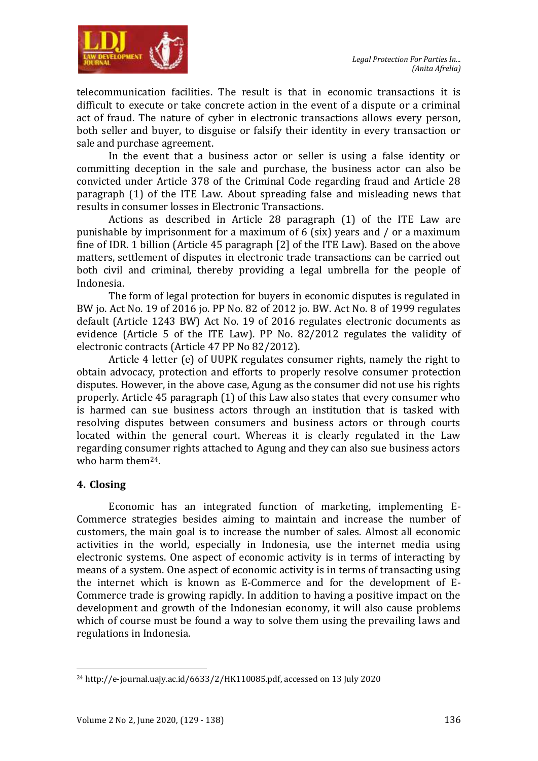

telecommunication facilities. The result is that in economic transactions it is difficult to execute or take concrete action in the event of a dispute or a criminal act of fraud. The nature of cyber in electronic transactions allows every person, both seller and buyer, to disguise or falsify their identity in every transaction or sale and purchase agreement.

In the event that a business actor or seller is using a false identity or committing deception in the sale and purchase, the business actor can also be convicted under Article 378 of the Criminal Code regarding fraud and Article 28 paragraph (1) of the ITE Law. About spreading false and misleading news that results in consumer losses in Electronic Transactions.

Actions as described in Article 28 paragraph (1) of the ITE Law are punishable by imprisonment for a maximum of 6 (six) years and / or a maximum fine of IDR. 1 billion (Article 45 paragraph [2] of the ITE Law). Based on the above matters, settlement of disputes in electronic trade transactions can be carried out both civil and criminal, thereby providing a legal umbrella for the people of Indonesia.

The form of legal protection for buyers in economic disputes is regulated in BW jo. Act No. 19 of 2016 jo. PP No. 82 of 2012 jo. BW. Act No. 8 of 1999 regulates default (Article 1243 BW) Act No. 19 of 2016 regulates electronic documents as evidence (Article 5 of the ITE Law). PP No. 82/2012 regulates the validity of electronic contracts (Article 47 PP No 82/2012).

Article 4 letter (e) of UUPK regulates consumer rights, namely the right to obtain advocacy, protection and efforts to properly resolve consumer protection disputes. However, in the above case, Agung as the consumer did not use his rights properly. Article 45 paragraph (1) of this Law also states that every consumer who is harmed can sue business actors through an institution that is tasked with resolving disputes between consumers and business actors or through courts located within the general court. Whereas it is clearly regulated in the Law regarding consumer rights attached to Agung and they can also sue business actors who harm them24.

# **4. Closing**

Economic has an integrated function of marketing, implementing E-Commerce strategies besides aiming to maintain and increase the number of customers, the main goal is to increase the number of sales. Almost all economic activities in the world, especially in Indonesia, use the internet media using electronic systems. One aspect of economic activity is in terms of interacting by means of a system. One aspect of economic activity is in terms of transacting using the internet which is known as E-Commerce and for the development of E-Commerce trade is growing rapidly. In addition to having a positive impact on the development and growth of the Indonesian economy, it will also cause problems which of course must be found a way to solve them using the prevailing laws and regulations in Indonesia.

<sup>1</sup> <sup>24</sup> http://e-journal.uajy.ac.id/6633/2/HK110085.pdf, accessed on 13 July 2020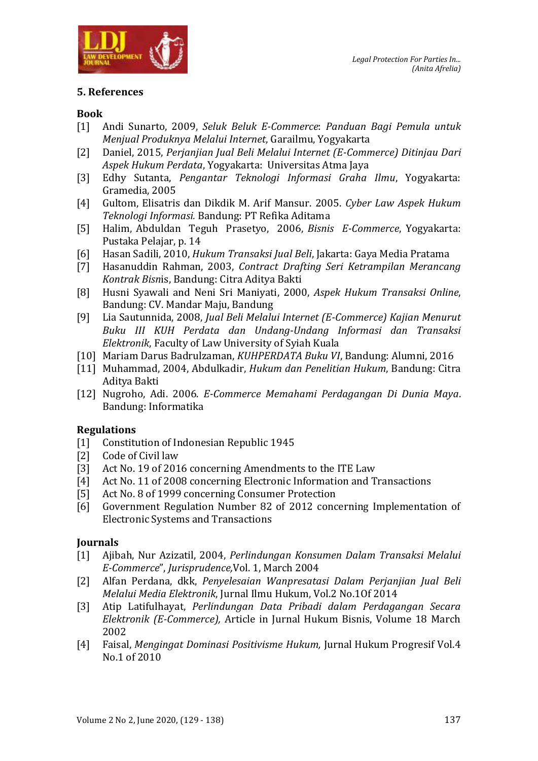

# **5. References**

#### **Book**

- [1] Andi Sunarto, 2009, *Seluk Beluk E-Commerce*: *Panduan Bagi Pemula untuk Menjual Produknya Melalui Internet*, Garailmu, Yogyakarta
- [2] Daniel, 2015, *Perjanjian Jual Beli Melalui Internet (E-Commerce) Ditinjau Dari Aspek Hukum Perdata*, Yogyakarta: Universitas Atma Jaya
- [3] Edhy Sutanta, *Pengantar Teknologi Informasi Graha Ilmu*, Yogyakarta: Gramedia, 2005
- [4] Gultom, Elisatris dan Dikdik M. Arif Mansur. 2005. *Cyber Law Aspek Hukum Teknologi Informasi.* Bandung: PT Refika Aditama
- [5] Halim, Abduldan Teguh Prasetyo, 2006, *Bisnis E-Commerce*, Yogyakarta: Pustaka Pelajar, p. 14
- [6] Hasan Sadili, 2010, *Hukum Transaksi Jual Beli*, Jakarta: Gaya Media Pratama
- [7] Hasanuddin Rahman, 2003, *Contract Drafting Seri Ketrampilan Merancang Kontrak Bisn*is, Bandung: Citra Aditya Bakti
- [8] Husni Syawali and Neni Sri Maniyati, 2000, *Aspek Hukum Transaksi Online*, Bandung: CV. Mandar Maju, Bandung
- [9] Lia Sautunnida, 2008, *Jual Beli Melalui Internet (E-Commerce) Kajian Menurut Buku III KUH Perdata dan Undang-Undang Informasi dan Transaksi Elektronik*, Faculty of Law University of Syiah Kuala
- [10] Mariam Darus Badrulzaman, *KUHPERDATA Buku VI*, Bandung: Alumni, 2016
- [11] Muhammad, 2004, Abdulkadir, *Hukum dan Penelitian Hukum*, Bandung: Citra Aditya Bakti
- [12] Nugroho, Adi. 2006. *E-Commerce Memahami Perdagangan Di Dunia Maya*. Bandung: Informatika

# **Regulations**

- [1] Constitution of Indonesian Republic 1945
- [2] Code of Civil law
- [3] Act No. 19 of 2016 concerning Amendments to the ITE Law
- [4] Act No. 11 of 2008 concerning Electronic Information and Transactions
- [5] Act No. 8 of 1999 concerning Consumer Protection
- [6] Government Regulation Number 82 of 2012 concerning Implementation of Electronic Systems and Transactions

# **Journals**

- [1] Ajibah, Nur Azizatil, 2004, *Perlindungan Konsumen Dalam Transaksi Melalui E-Commerce*", *Jurisprudence,*Vol. 1, March 2004
- [2] Alfan Perdana, dkk, *Penyelesaian Wanpresatasi Dalam Perjanjian Jual Beli Melalui Media Elektronik*, Jurnal Ilmu Hukum, Vol.2 No.1Of 2014
- [3] Atip Latifulhayat, *Perlindungan Data Pribadi dalam Perdagangan Secara Elektronik (E-Commerce),* Article in Jurnal Hukum Bisnis, Volume 18 March 2002
- [4] Faisal, *Mengingat Dominasi Positivisme Hukum,* Jurnal Hukum Progresif Vol.4 No.1 of 2010